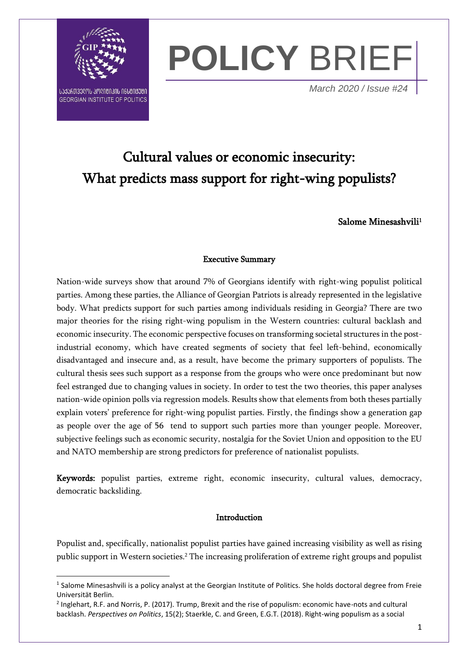

# **POLICY** BRIEF

*March 2020 / Issue #24*

# Cultural values or economic insecurity: What predicts mass support for right-wing populists?

# Salome Minesashvili<sup>1</sup>

#### Executive Summary

Nation-wide surveys show that around 7% of Georgians identify with right-wing populist political parties. Among these parties, the Alliance of Georgian Patriots is already represented in the legislative body. What predicts support for such parties among individuals residing in Georgia? There are two major theories for the rising right-wing populism in the Western countries: cultural backlash and economic insecurity. The economic perspective focuses on transforming societal structures in the postindustrial economy, which have created segments of society that feel left-behind, economically disadvantaged and insecure and, as a result, have become the primary supporters of populists. The cultural thesis sees such support as a response from the groups who were once predominant but now feel estranged due to changing values in society. In order to test the two theories, this paper analyses nation-wide opinion polls via regression models. Results show that elements from both theses partially explain voters' preference for right-wing populist parties. Firstly, the findings show a generation gap as people over the age of 56 tend to support such parties more than younger people. Moreover, subjective feelings such as economic security, nostalgia for the Soviet Union and opposition to the EU and NATO membership are strong predictors for preference of nationalist populists.

Keywords: populist parties, extreme right, economic insecurity, cultural values, democracy, democratic backsliding.

#### Introduction

Populist and, specifically, nationalist populist parties have gained increasing visibility as well as rising public support in Western societies.<sup>2</sup> The increasing proliferation of extreme right groups and populist

<sup>&</sup>lt;sup>1</sup> Salome Minesashvili is a policy analyst at the Georgian Institute of Politics. She holds doctoral degree from Freie Universität Berlin.

<sup>&</sup>lt;sup>2</sup> Inglehart, R.F. and Norris, P. (2017). Trump, Brexit and the rise of populism: economic have-nots and cultural backlash. *Perspectives on Politics*, 15(2); Staerkle, C. and Green, E.G.T. (2018). Right-wing populism as a social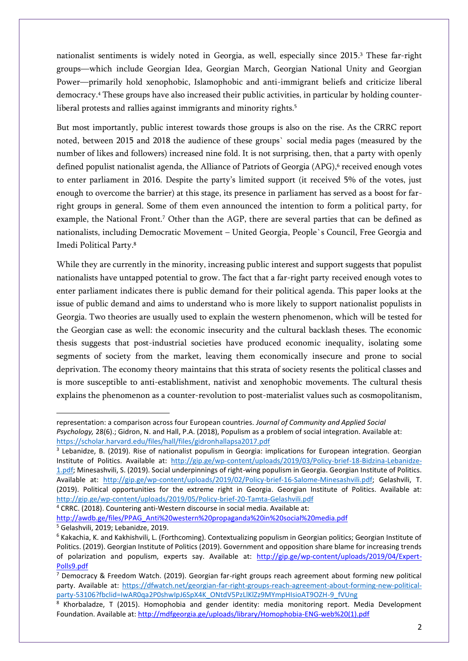nationalist sentiments is widely noted in Georgia, as well, especially since 2015.<sup>3</sup> These far-right groups—which include Georgian Idea, Georgian March, Georgian National Unity and Georgian Power—primarily hold xenophobic, Islamophobic and anti-immigrant beliefs and criticize liberal democracy.<sup>4</sup> These groups have also increased their public activities, in particular by holding counterliberal protests and rallies against immigrants and minority rights.<sup>5</sup>

But most importantly, public interest towards those groups is also on the rise. As the CRRC report noted, between 2015 and 2018 the audience of these groups` social media pages (measured by the number of likes and followers) increased nine fold. It is not surprising, then, that a party with openly defined populist nationalist agenda, the Alliance of Patriots of Georgia (APG),<sup>6</sup> received enough votes to enter parliament in 2016. Despite the party's limited support (it received 5% of the votes, just enough to overcome the barrier) at this stage, its presence in parliament has served as a boost for farright groups in general. Some of them even announced the intention to form a political party, for example, the National Front.<sup>7</sup> Other than the AGP, there are several parties that can be defined as nationalists, including Democratic Movement – United Georgia, People`s Council, Free Georgia and Imedi Political Party.<sup>8</sup>

While they are currently in the minority, increasing public interest and support suggests that populist nationalists have untapped potential to grow. The fact that a far-right party received enough votes to enter parliament indicates there is public demand for their political agenda. This paper looks at the issue of public demand and aims to understand who is more likely to support nationalist populists in Georgia. Two theories are usually used to explain the western phenomenon, which will be tested for the Georgian case as well: the economic insecurity and the cultural backlash theses. The economic thesis suggests that post-industrial societies have produced economic inequality, isolating some segments of society from the market, leaving them economically insecure and prone to social deprivation. The economy theory maintains that this strata of society resents the political classes and is more susceptible to anti-establishment, nativist and xenophobic movements. The cultural thesis explains the phenomenon as a counter-revolution to post-materialist values such as cosmopolitanism,

<sup>4</sup> CRRC. (2018). Countering anti-Western discourse in social media. Available at:

representation: a comparison across four European countries. *Journal of Community and Applied Social Psychology,* 28(6).; Gidron, N. and Hall, P.A. (2018), Populism as a problem of social integration. Available at: <https://scholar.harvard.edu/files/hall/files/gidronhallapsa2017.pdf>

<sup>&</sup>lt;sup>3</sup> Lebanidze, B. (2019). Rise of nationalist populism in Georgia: implications for European integration. Georgian Institute of Politics. Available at: [http://gip.ge/wp-content/uploads/2019/03/Policy-brief-18-Bidzina-Lebanidze-](http://gip.ge/wp-content/uploads/2019/03/Policy-brief-18-Bidzina-Lebanidze-1.pdf)[1.pdf;](http://gip.ge/wp-content/uploads/2019/03/Policy-brief-18-Bidzina-Lebanidze-1.pdf) Minesashvili, S. (2019). Social underpinnings of right-wing populism in Georgia. Georgian Institute of Politics. Available at: [http://gip.ge/wp-content/uploads/2019/02/Policy-brief-16-Salome-Minesashvili.pdf;](http://gip.ge/wp-content/uploads/2019/02/Policy-brief-16-Salome-Minesashvili.pdf) Gelashvili, T. (2019). Political opportunities for the extreme right in Georgia. Georgian Institute of Politics. Available at: <http://gip.ge/wp-content/uploads/2019/05/Policy-brief-20-Tamta-Gelashvili.pdf>

[http://awdb.ge/files/PPAG\\_Anti%20western%20propaganda%20in%20social%20media.pdf](http://awdb.ge/files/PPAG_Anti%20western%20propaganda%20in%20social%20media.pdf)

<sup>5</sup> Gelashvili, 2019; Lebanidze, 2019.

 $6$  Kakachia, K. and Kakhishvili, L. (Forthcoming). Contextualizing populism in Georgian politics; Georgian Institute of Politics. (2019). Georgian Institute of Politics (2019). Government and opposition share blame for increasing trends of polarization and populism, experts say. Available at: [http://gip.ge/wp-content/uploads/2019/04/Expert-](http://gip.ge/wp-content/uploads/2019/04/Expert-Polls9.pdf)[Polls9.pdf](http://gip.ge/wp-content/uploads/2019/04/Expert-Polls9.pdf)

<sup>7</sup> Democracy & Freedom Watch. (2019). Georgian far-right groups reach agreement about forming new political party. Available at: [https://dfwatch.net/georgian-far-right-groups-reach-agreement-about-forming-new-political](https://dfwatch.net/georgian-far-right-groups-reach-agreement-about-forming-new-political-party-53106?fbclid=IwAR0qa2P0shwIpJ6SpX4K_ONtdV5PzLlKlZz9MYmpHIsioAT9OZH-9_fVUng)[party-53106?fbclid=IwAR0qa2P0shwIpJ6SpX4K\\_ONtdV5PzLlKlZz9MYmpHIsioAT9OZH-9\\_fVUng](https://dfwatch.net/georgian-far-right-groups-reach-agreement-about-forming-new-political-party-53106?fbclid=IwAR0qa2P0shwIpJ6SpX4K_ONtdV5PzLlKlZz9MYmpHIsioAT9OZH-9_fVUng)

<sup>8</sup> Khorbaladze, T (2015). Homophobia and gender identity: media monitoring report. Media Development Foundation. Available at[: http://mdfgeorgia.ge/uploads/library/Homophobia-ENG-web%20\(1\).pdf](http://mdfgeorgia.ge/uploads/library/Homophobia-ENG-web%20(1).pdf)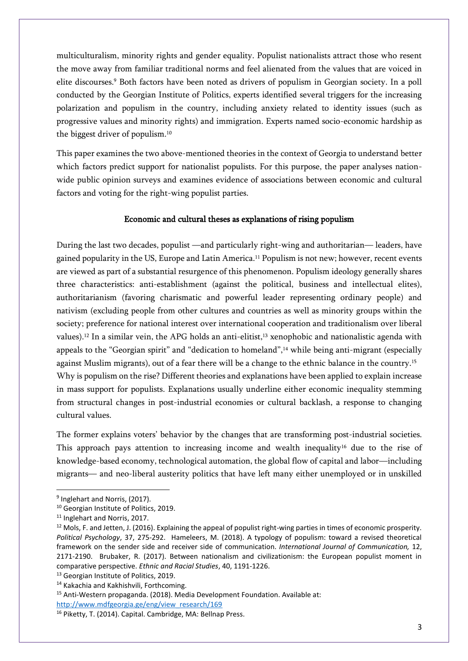multiculturalism, minority rights and gender equality. Populist nationalists attract those who resent the move away from familiar traditional norms and feel alienated from the values that are voiced in elite discourses.<sup>9</sup> Both factors have been noted as drivers of populism in Georgian society. In a poll conducted by the Georgian Institute of Politics, experts identified several triggers for the increasing polarization and populism in the country, including anxiety related to identity issues (such as progressive values and minority rights) and immigration. Experts named socio-economic hardship as the biggest driver of populism.<sup>10</sup>

This paper examines the two above-mentioned theories in the context of Georgia to understand better which factors predict support for nationalist populists. For this purpose, the paper analyses nationwide public opinion surveys and examines evidence of associations between economic and cultural factors and voting for the right-wing populist parties.

#### Economic and cultural theses as explanations of rising populism

During the last two decades, populist —and particularly right-wing and authoritarian— leaders, have gained popularity in the US, Europe and Latin America.<sup>11</sup> Populism is not new; however, recent events are viewed as part of a substantial resurgence of this phenomenon. Populism ideology generally shares three characteristics: anti-establishment (against the political, business and intellectual elites), authoritarianism (favoring charismatic and powerful leader representing ordinary people) and nativism (excluding people from other cultures and countries as well as minority groups within the society; preference for national interest over international cooperation and traditionalism over liberal values).<sup>12</sup> In a similar vein, the APG holds an anti-elitist,<sup>13</sup> xenophobic and nationalistic agenda with appeals to the "Georgian spirit" and "dedication to homeland",<sup>14</sup> while being anti-migrant (especially against Muslim migrants), out of a fear there will be a change to the ethnic balance in the country.<sup>15</sup> Why is populism on the rise? Different theories and explanations have been applied to explain increase in mass support for populists. Explanations usually underline either economic inequality stemming from structural changes in post-industrial economies or cultural backlash, a response to changing cultural values.

The former explains voters' behavior by the changes that are transforming post-industrial societies. This approach pays attention to increasing income and wealth inequality<sup>16</sup> due to the rise of knowledge-based economy, technological automation, the global flow of capital and labor—including migrants— and neo-liberal austerity politics that have left many either unemployed or in unskilled

<sup>13</sup> Georgian Institute of Politics, 2019.

<sup>&</sup>lt;sup>9</sup> Inglehart and Norris, (2017).

<sup>10</sup> Georgian Institute of Politics, 2019.

<sup>&</sup>lt;sup>11</sup> Inglehart and Norris, 2017.

<sup>&</sup>lt;sup>12</sup> Mols, F. and Jetten, J. (2016). Explaining the appeal of populist right-wing parties in times of economic prosperity. *Political Psychology*, 37, 275-292. Hameleers, M. (2018). A typology of populism: toward a revised theoretical framework on the sender side and receiver side of communication. *International Journal of Communication,* 12, 2171-2190. Brubaker, R. (2017). Between nationalism and civilizationism: the European populist moment in comparative perspective. *Ethnic and Racial Studies*, 40, 1191-1226.

<sup>&</sup>lt;sup>14</sup> Kakachia and Kakhishvili, Forthcoming.

<sup>15</sup> Anti-Western propaganda. (2018). Media Development Foundation. Available at:

[http://www.mdfgeorgia.ge/eng/view\\_research/169](http://www.mdfgeorgia.ge/eng/view_research/169)

<sup>16</sup> Piketty, T. (2014). Capital. Cambridge, MA: Bellnap Press.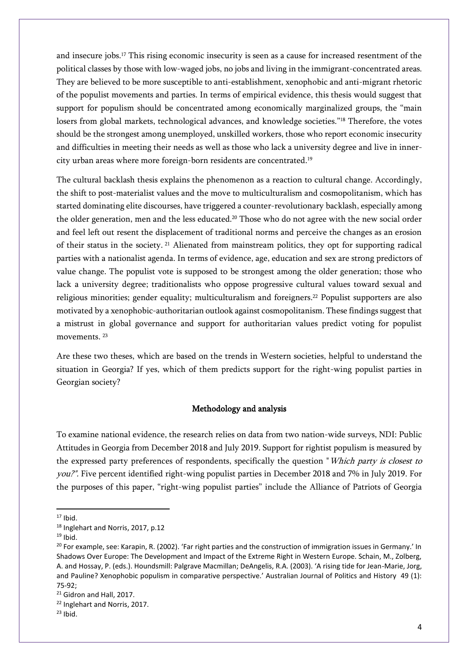and insecure jobs.<sup>17</sup> This rising economic insecurity is seen as a cause for increased resentment of the political classes by those with low-waged jobs, no jobs and living in the immigrant-concentrated areas. They are believed to be more susceptible to anti-establishment, xenophobic and anti-migrant rhetoric of the populist movements and parties. In terms of empirical evidence, this thesis would suggest that support for populism should be concentrated among economically marginalized groups, the "main losers from global markets, technological advances, and knowledge societies."<sup>18</sup> Therefore, the votes should be the strongest among unemployed, unskilled workers, those who report economic insecurity and difficulties in meeting their needs as well as those who lack a university degree and live in innercity urban areas where more foreign-born residents are concentrated.<sup>19</sup>

The cultural backlash thesis explains the phenomenon as a reaction to cultural change. Accordingly, the shift to post-materialist values and the move to multiculturalism and cosmopolitanism, which has started dominating elite discourses, have triggered a counter-revolutionary backlash, especially among the older generation, men and the less educated.<sup>20</sup> Those who do not agree with the new social order and feel left out resent the displacement of traditional norms and perceive the changes as an erosion of their status in the society. <sup>21</sup> Alienated from mainstream politics, they opt for supporting radical parties with a nationalist agenda. In terms of evidence, age, education and sex are strong predictors of value change. The populist vote is supposed to be strongest among the older generation; those who lack a university degree; traditionalists who oppose progressive cultural values toward sexual and religious minorities; gender equality; multiculturalism and foreigners.<sup>22</sup> Populist supporters are also motivated by a xenophobic-authoritarian outlook against cosmopolitanism. These findings suggest that a mistrust in global governance and support for authoritarian values predict voting for populist movements.<sup>23</sup>

Are these two theses, which are based on the trends in Western societies, helpful to understand the situation in Georgia? If yes, which of them predicts support for the right-wing populist parties in Georgian society?

#### Methodology and analysis

To examine national evidence, the research relies on data from two nation-wide surveys, NDI: Public Attitudes in Georgia from December 2018 and July 2019. Support for rightist populism is measured by the expressed party preferences of respondents, specifically the question "Which party is closest to you?". Five percent identified right-wing populist parties in December 2018 and 7% in July 2019. For the purposes of this paper, "right-wing populist parties" include the Alliance of Patriots of Georgia

 $17$  Ibid.

<sup>18</sup> Inglehart and Norris, 2017, p.12

 $19$  Ibid.

<sup>&</sup>lt;sup>20</sup> For example, see: Karapin, R. (2002). 'Far right parties and the construction of immigration issues in Germany.' In Shadows Over Europe: The Development and Impact of the Extreme Right in Western Europe. Schain, M., Zolberg, A. and Hossay, P. (eds.). Houndsmill: Palgrave Macmillan; DeAngelis, R.A. (2003). 'A rising tide for Jean-Marie, Jorg, and Pauline? Xenophobic populism in comparative perspective.' Australian Journal of Politics and History 49 (1): 75-92;

<sup>&</sup>lt;sup>21</sup> Gidron and Hall, 2017.

<sup>22</sup> Inglehart and Norris, 2017.

 $23$  Ibid.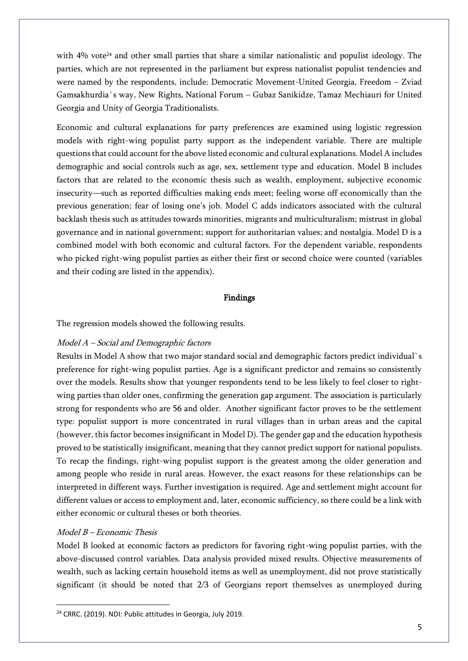with 4% vote<sup>24</sup> and other small parties that share a similar nationalistic and populist ideology. The parties, which are not represented in the parliament but express nationalist populist tendencies and were named by the respondents, include: Democratic Movement-United Georgia, Freedom – Zviad Gamsakhurdia`s way, New Rights, National Forum – Gubaz Sanikidze, Tamaz Mechiauri for United Georgia and Unity of Georgia Traditionalists.

Economic and cultural explanations for party preferences are examined using logistic regression models with right-wing populist party support as the independent variable. There are multiple questions that could account for the above listed economic and cultural explanations. Model A includes demographic and social controls such as age, sex, settlement type and education. Model B includes factors that are related to the economic thesis such as wealth, employment, subjective economic insecurity—such as reported difficulties making ends meet; feeling worse off economically than the previous generation; fear of losing one's job. Model C adds indicators associated with the cultural backlash thesis such as attitudes towards minorities, migrants and multiculturalism; mistrust in global governance and in national government; support for authoritarian values; and nostalgia. Model D is a combined model with both economic and cultural factors. For the dependent variable, respondents who picked right-wing populist parties as either their first or second choice were counted (variables and their coding are listed in the appendix).

#### Findings

The regression models showed the following results.

#### Model A – Social and Demographic factors

Results in Model A show that two major standard social and demographic factors predict individual`s preference for right-wing populist parties. Age is a significant predictor and remains so consistently over the models. Results show that younger respondents tend to be less likely to feel closer to rightwing parties than older ones, confirming the generation gap argument. The association is particularly strong for respondents who are 56 and older. Another significant factor proves to be the settlement type: populist support is more concentrated in rural villages than in urban areas and the capital (however, this factor becomes insignificant in Model D). The gender gap and the education hypothesis proved to be statistically insignificant, meaning that they cannot predict support for national populists. To recap the findings, right-wing populist support is the greatest among the older generation and among people who reside in rural areas. However, the exact reasons for these relationships can be interpreted in different ways. Further investigation is required. Age and settlement might account for different values or access to employment and, later, economic sufficiency, so there could be a link with either economic or cultural theses or both theories.

#### Model B – Economic Thesis

Model B looked at economic factors as predictors for favoring right-wing populist parties, with the above-discussed control variables. Data analysis provided mixed results. Objective measurements of wealth, such as lacking certain household items as well as unemployment, did not prove statistically significant (it should be noted that 2/3 of Georgians report themselves as unemployed during

<sup>24</sup> CRRC. (2019). NDI: Public attitudes in Georgia, July 2019.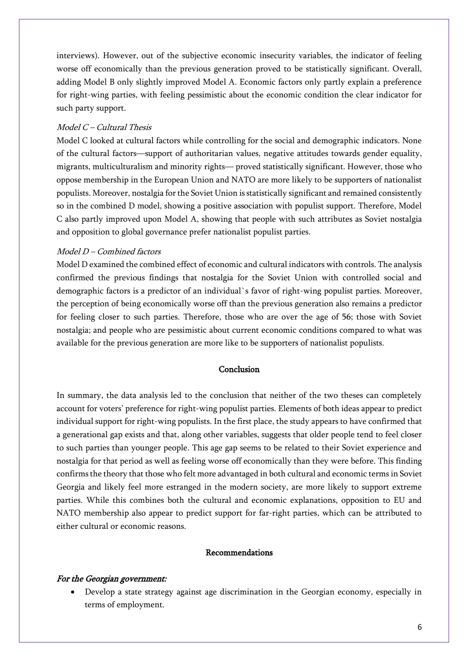interviews). However, out of the subjective economic insecurity variables, the indicator of feeling worse off economically than the previous generation proved to be statistically significant. Overall, adding Model B only slightly improved Model A. Economic factors only partly explain a preference for right-wing parties, with feeling pessimistic about the economic condition the clear indicator for such party support.

#### Model C – Cultural Thesis

Model C looked at cultural factors while controlling for the social and demographic indicators. None of the cultural factors—support of authoritarian values, negative attitudes towards gender equality, migrants, multiculturalism and minority rights— proved statistically significant. However, those who oppose membership in the European Union and NATO are more likely to be supporters of nationalist populists. Moreover, nostalgia for the Soviet Union is statistically significant and remained consistently so in the combined D model, showing a positive association with populist support. Therefore, Model C also partly improved upon Model A, showing that people with such attributes as Soviet nostalgia and opposition to global governance prefer nationalist populist parties.

#### Model D – Combined factors

Model D examined the combined effect of economic and cultural indicators with controls. The analysis confirmed the previous findings that nostalgia for the Soviet Union with controlled social and demographic factors is a predictor of an individual`s favor of right-wing populist parties. Moreover, the perception of being economically worse off than the previous generation also remains a predictor for feeling closer to such parties. Therefore, those who are over the age of 56; those with Soviet nostalgia; and people who are pessimistic about current economic conditions compared to what was available for the previous generation are more like to be supporters of nationalist populists.

#### Conclusion

In summary, the data analysis led to the conclusion that neither of the two theses can completely account for voters' preference for right-wing populist parties. Elements of both ideas appear to predict individual support for right-wing populists. In the first place, the study appears to have confirmed that a generational gap exists and that, along other variables, suggests that older people tend to feel closer to such parties than younger people. This age gap seems to be related to their Soviet experience and nostalgia for that period as well as feeling worse off economically than they were before. This finding confirms the theory that those who felt more advantaged in both cultural and economic terms in Soviet Georgia and likely feel more estranged in the modern society, are more likely to support extreme parties. While this combines both the cultural and economic explanations, opposition to EU and NATO membership also appear to predict support for far-right parties, which can be attributed to either cultural or economic reasons.

#### Recommendations

#### For the Georgian government:

• Develop a state strategy against age discrimination in the Georgian economy, especially in terms of employment.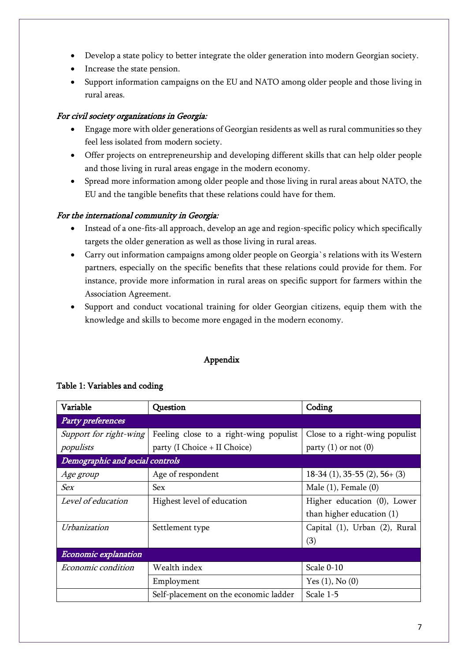- Develop a state policy to better integrate the older generation into modern Georgian society.
- Increase the state pension.
- Support information campaigns on the EU and NATO among older people and those living in rural areas.

# For civil society organizations in Georgia:

- Engage more with older generations of Georgian residents as well as rural communities so they feel less isolated from modern society.
- Offer projects on entrepreneurship and developing different skills that can help older people and those living in rural areas engage in the modern economy.
- Spread more information among older people and those living in rural areas about NATO, the EU and the tangible benefits that these relations could have for them.

# For the international community in Georgia:

- Instead of a one-fits-all approach, develop an age and region-specific policy which specifically targets the older generation as well as those living in rural areas.
- Carry out information campaigns among older people on Georgia`s relations with its Western partners, especially on the specific benefits that these relations could provide for them. For instance, provide more information in rural areas on specific support for farmers within the Association Agreement.
- Support and conduct vocational training for older Georgian citizens, equip them with the knowledge and skills to become more engaged in the modern economy.

### Appendix

| Variable                        | Question                               | Coding                          |  |  |  |  |  |
|---------------------------------|----------------------------------------|---------------------------------|--|--|--|--|--|
| <b>Party preferences</b>        |                                        |                                 |  |  |  |  |  |
| Support for right-wing          | Feeling close to a right-wing populist | Close to a right-wing populist  |  |  |  |  |  |
| populists                       | party (I Choice + II Choice)           | party $(1)$ or not $(0)$        |  |  |  |  |  |
| Demographic and social controls |                                        |                                 |  |  |  |  |  |
| <i>Age group</i>                | Age of respondent                      | $18-34$ (1), 35-55 (2), 56+ (3) |  |  |  |  |  |
| <b>Sex</b>                      | <b>Sex</b>                             | Male $(1)$ , Female $(0)$       |  |  |  |  |  |
| Level of education              | Highest level of education             | Higher education (0), Lower     |  |  |  |  |  |
|                                 |                                        | than higher education (1)       |  |  |  |  |  |
| Urbanization                    | Settlement type                        | Capital (1), Urban (2), Rural   |  |  |  |  |  |
|                                 |                                        | (3)                             |  |  |  |  |  |
| Economic explanation            |                                        |                                 |  |  |  |  |  |
| Economic condition              | Wealth index                           | Scale 0-10                      |  |  |  |  |  |
|                                 | Employment                             | Yes $(1)$ , No $(0)$            |  |  |  |  |  |
|                                 | Self-placement on the economic ladder  | Scale 1-5                       |  |  |  |  |  |

# Table 1: Variables and coding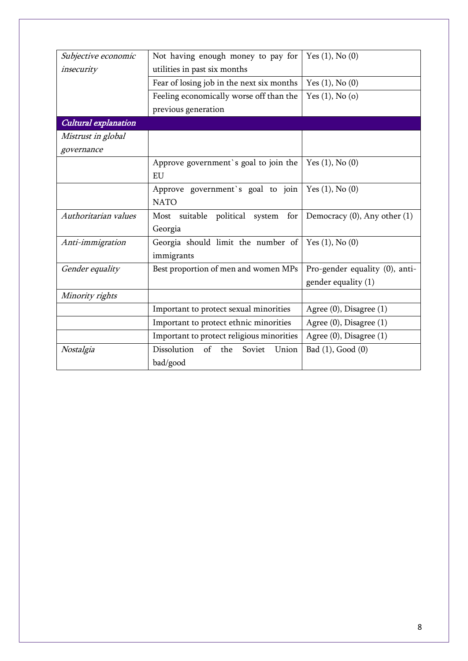| Subjective economic  | Not having enough money to pay for          | Yes $(1)$ , No $(0)$              |  |  |  |  |  |  |
|----------------------|---------------------------------------------|-----------------------------------|--|--|--|--|--|--|
| insecurity           | utilities in past six months                |                                   |  |  |  |  |  |  |
|                      | Fear of losing job in the next six months   | Yes $(1)$ , No $(0)$              |  |  |  |  |  |  |
|                      | Feeling economically worse off than the     | Yes $(1)$ , No $(o)$              |  |  |  |  |  |  |
|                      | previous generation                         |                                   |  |  |  |  |  |  |
| Cultural explanation |                                             |                                   |  |  |  |  |  |  |
| Mistrust in global   |                                             |                                   |  |  |  |  |  |  |
| governance           |                                             |                                   |  |  |  |  |  |  |
|                      | Approve government's goal to join the       | Yes $(1)$ , No $(0)$              |  |  |  |  |  |  |
|                      | EU                                          |                                   |  |  |  |  |  |  |
|                      | Approve government's goal to join           | Yes $(1)$ , No $(0)$              |  |  |  |  |  |  |
|                      | <b>NATO</b>                                 |                                   |  |  |  |  |  |  |
| Authoritarian values | political system<br>Most<br>suitable<br>for | Democracy $(0)$ , Any other $(1)$ |  |  |  |  |  |  |
|                      | Georgia                                     |                                   |  |  |  |  |  |  |
| Anti-immigration     | Georgia should limit the number of          | Yes $(1)$ , No $(0)$              |  |  |  |  |  |  |
|                      | immigrants                                  |                                   |  |  |  |  |  |  |
| Gender equality      | Best proportion of men and women MPs        | Pro-gender equality (0), anti-    |  |  |  |  |  |  |
|                      |                                             | gender equality (1)               |  |  |  |  |  |  |
| Minority rights      |                                             |                                   |  |  |  |  |  |  |
|                      | Important to protect sexual minorities      | Agree (0), Disagree (1)           |  |  |  |  |  |  |
|                      | Important to protect ethnic minorities      | Agree (0), Disagree (1)           |  |  |  |  |  |  |
|                      | Important to protect religious minorities   | Agree (0), Disagree (1)           |  |  |  |  |  |  |
| Nostalgia            | of<br>Dissolution<br>the<br>Union<br>Soviet | Bad (1), Good (0)                 |  |  |  |  |  |  |
|                      | bad/good                                    |                                   |  |  |  |  |  |  |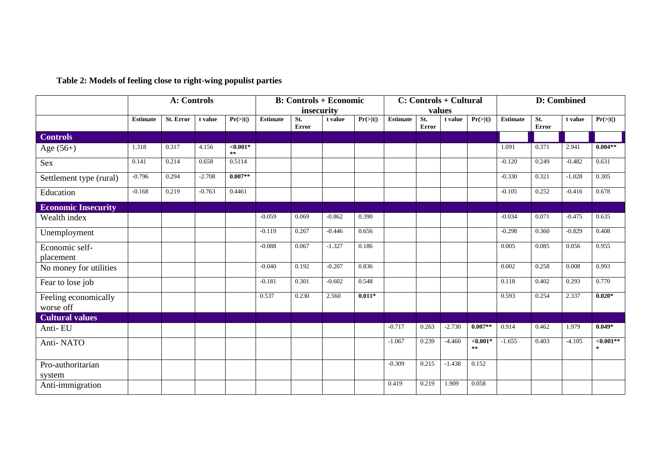|                                   | <b>A: Controls</b> |           |          |                          | <b>B:</b> Controls + Economic<br>insecurity |              |          |          |                 |                     | C: Controls + Cultural<br>values |                          | D: Combined     |              |          |                        |
|-----------------------------------|--------------------|-----------|----------|--------------------------|---------------------------------------------|--------------|----------|----------|-----------------|---------------------|----------------------------------|--------------------------|-----------------|--------------|----------|------------------------|
|                                   | <b>Estimate</b>    | St. Error | t value  | Pr(> t )                 | <b>Estimate</b>                             | St.<br>Error | t value  | Pr(> t ) | <b>Estimate</b> | St.<br><b>Error</b> | t value                          | $Pr(>\mid t )$           | <b>Estimate</b> | St.<br>Error | t value  | Pr(> t )               |
| <b>Controls</b>                   |                    |           |          |                          |                                             |              |          |          |                 |                     |                                  |                          |                 |              |          |                        |
| Age $(56+)$                       | 1.318              | 0.317     | 4.156    | $< 0.001*$<br>$\ast\ast$ |                                             |              |          |          |                 |                     |                                  |                          | 1.091           | 0.371        | 2.941    | $0.004**$              |
| Sex                               | 0.141              | 0.214     | 0.658    | 0.5114                   |                                             |              |          |          |                 |                     |                                  |                          | $-0.120$        | 0.249        | $-0.482$ | 0.631                  |
| Settlement type (rural)           | $-0.796$           | 0.294     | $-2.708$ | $0.007**$                |                                             |              |          |          |                 |                     |                                  |                          | $-0.330$        | 0.321        | $-1.028$ | 0.305                  |
| Education                         | $-0.168$           | 0.219     | $-0.763$ | 0.4461                   |                                             |              |          |          |                 |                     |                                  |                          | $-0.105$        | 0.252        | $-0.416$ | 0.678                  |
| <b>Economic Insecurity</b>        |                    |           |          |                          |                                             |              |          |          |                 |                     |                                  |                          |                 |              |          |                        |
| Wealth index                      |                    |           |          |                          | $-0.059$                                    | 0.069        | $-0.862$ | 0.390    |                 |                     |                                  |                          | $-0.034$        | 0.071        | $-0.475$ | 0.635                  |
| Unemployment                      |                    |           |          |                          | $-0.119$                                    | 0.267        | $-0.446$ | 0.656    |                 |                     |                                  |                          | $-0.298$        | 0.360        | $-0.829$ | 0.408                  |
| Economic self-<br>placement       |                    |           |          |                          | $-0.088$                                    | 0.067        | $-1.327$ | 0.186    |                 |                     |                                  |                          | 0.005           | 0.085        | 0.056    | 0.955                  |
| No money for utilities            |                    |           |          |                          | $-0.040$                                    | 0.192        | $-0.207$ | 0.836    |                 |                     |                                  |                          | 0.002           | 0.258        | 0.008    | 0.993                  |
| Fear to lose job                  |                    |           |          |                          | $-0.181$                                    | 0.301        | $-0.602$ | 0.548    |                 |                     |                                  |                          | 0.118           | 0.402        | 0.293    | 0.770                  |
| Feeling economically<br>worse off |                    |           |          |                          | 0.537                                       | 0.230        | 2.560    | $0.011*$ |                 |                     |                                  |                          | 0.593           | 0.254        | 2.337    | $0.020*$               |
| <b>Cultural values</b>            |                    |           |          |                          |                                             |              |          |          |                 |                     |                                  |                          |                 |              |          |                        |
| Anti-EU                           |                    |           |          |                          |                                             |              |          |          | $-0.717$        | 0.263               | $-2.730$                         | $0.007**$                | 0.914           | 0.462        | 1.979    | $0.049*$               |
| Anti-NATO                         |                    |           |          |                          |                                             |              |          |          | $-1.067$        | 0.239               | $-4.460$                         | $< 0.001*$<br>$\ast\ast$ | $-1.655$        | 0.403        | $-4.105$ | ${<}0.001**$<br>$\ast$ |
| Pro-authoritarian<br>system       |                    |           |          |                          |                                             |              |          |          | $-0.309$        | 0.215               | $-1.438$                         | 0.152                    |                 |              |          |                        |
| Anti-immigration                  |                    |           |          |                          |                                             |              |          |          | 0.419           | 0.219               | 1.909                            | 0.058                    |                 |              |          |                        |

**Table 2: Models of feeling close to right-wing populist parties**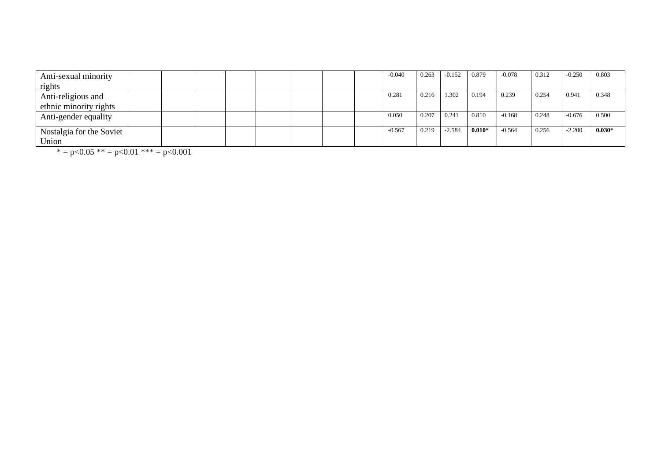| Anti-sexual minority     |  |  |  |  | $-0.040$ | 0.263 | $-0.152$ | 0.879    | $-0.078$ | 0.312 | $-0.250$ | 0.803    |
|--------------------------|--|--|--|--|----------|-------|----------|----------|----------|-------|----------|----------|
| rights                   |  |  |  |  |          |       |          |          |          |       |          |          |
| Anti-religious and       |  |  |  |  | 0.281    | 0.216 | .302     | 0.194    | 0.239    | 0.254 | 0.941    | 0.348    |
| ethnic minority rights   |  |  |  |  |          |       |          |          |          |       |          |          |
| Anti-gender equality     |  |  |  |  | 0.050    | 0.207 | 0.241    | 0.810    | $-0.168$ | 0.248 | $-0.676$ | 0.500    |
|                          |  |  |  |  | $-0.567$ | 0.219 | $-2.584$ | $0.010*$ | $-0.564$ | 0.256 | $-2.200$ | $0.030*$ |
| Nostalgia for the Soviet |  |  |  |  |          |       |          |          |          |       |          |          |
| Union                    |  |  |  |  |          |       |          |          |          |       |          |          |

 $* = p < 0.05$  \*\*  $= p < 0.01$  \*\*\*  $= p < 0.001$